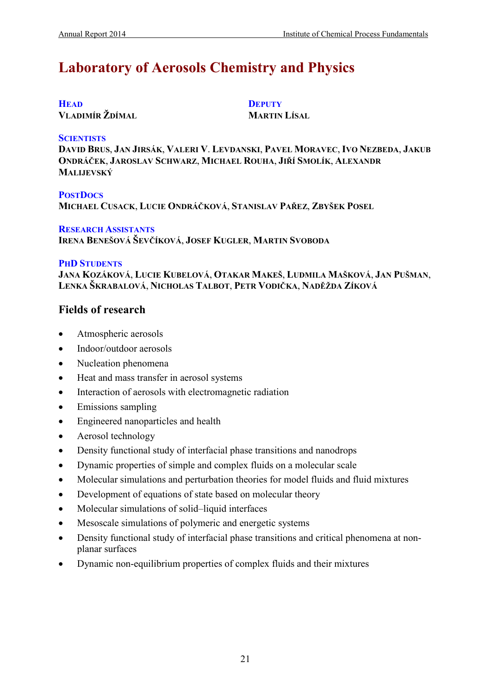# **Laboratory of Aerosols Chemistry and Physics**

# **HEAD**

**VLADIMÍR ŽDÍMAL**

**DEPUTY MARTIN LÍSAL**

## **SCIENTISTS**

**DAVID BRUS**, **JAN JIRSÁK**, **VALERI V**. **LEVDANSKI**, **PAVEL MORAVEC**, **IVO NEZBEDA**, **JAKUB ONDRÁČEK**, **JAROSLAV SCHWARZ**, **MICHAEL ROUHA**, **JIŘÍ SMOLÍK**, **ALEXANDR MALIJEVSKÝ**

**POSTDOCS MICHAEL CUSACK**, **LUCIE ONDRÁČKOVÁ**, **STANISLAV PAŘEZ**, **ZBYŠEK POSEL**

## **RESEARCH ASSISTANTS**

**IRENA BENEŠOVÁ ŠEVČÍKOVÁ**, **JOSEF KUGLER**, **MARTIN SVOBODA**

## **PHD STUDENTS**

**JANA KOZÁKOVÁ**, **LUCIE KUBELOVÁ**, **OTAKAR MAKEŠ**, **LUDMILA MAŠKOVÁ**, **JAN PUŠMAN**, **LENKA ŠKRABALOVÁ**, **NICHOLAS TALBOT**, **PETR VODIČKA**, **NADĚŽDA ZÍKOVÁ**

# **Fields of research**

- Atmospheric aerosols
- Indoor/outdoor aerosols
- Nucleation phenomena
- Heat and mass transfer in aerosol systems
- Interaction of aerosols with electromagnetic radiation
- Emissions sampling
- Engineered nanoparticles and health
- Aerosol technology
- Density functional study of interfacial phase transitions and nanodrops
- Dynamic properties of simple and complex fluids on a molecular scale
- Molecular simulations and perturbation theories for model fluids and fluid mixtures
- Development of equations of state based on molecular theory
- Molecular simulations of solid–liquid interfaces
- Mesoscale simulations of polymeric and energetic systems
- Density functional study of interfacial phase transitions and critical phenomena at nonplanar surfaces
- Dynamic non-equilibrium properties of complex fluids and their mixtures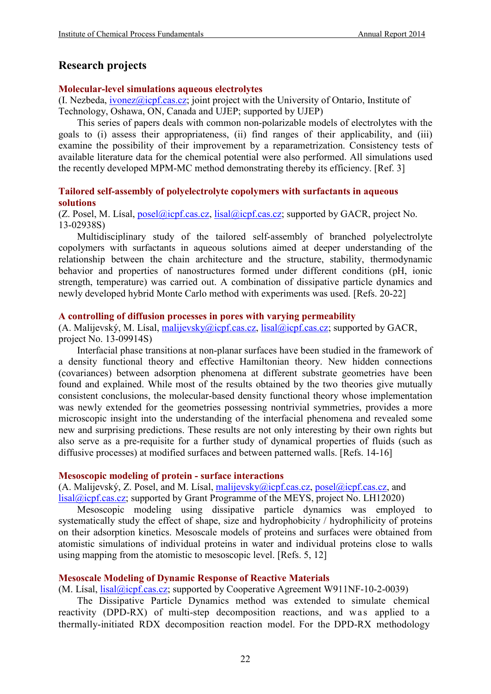# **Research projects**

## **Molecular-level simulations aqueous electrolytes**

 $(I. Nezbeda, *ivonez@icpf.cas.cz*; joint project with the University of Ontario, Institute of$ Technology, Oshawa, ON, Canada and UJEP; supported by UJEP)

This series of papers deals with common non-polarizable models of electrolytes with the goals to (i) assess their appropriateness, (ii) find ranges of their applicability, and (iii) examine the possibility of their improvement by a reparametrization. Consistency tests of available literature data for the chemical potential were also performed. All simulations used the recently developed MPM-MC method demonstrating thereby its efficiency. [Ref. 3]

# **Tailored self-assembly of polyelectrolyte copolymers with surfactants in aqueous solutions**

(Z. Posel, M. Lísal, [posel@icpf.cas.cz,](mailto:posel@icpf.cas.cz) [lisal@icpf.cas.cz;](mailto:lisal@icpf.cas.cz) supported by GACR, project No. 13-02938S)

Multidisciplinary study of the tailored self-assembly of branched polyelectrolyte copolymers with surfactants in aqueous solutions aimed at deeper understanding of the relationship between the chain architecture and the structure, stability, thermodynamic behavior and properties of nanostructures formed under different conditions (pH, ionic strength, temperature) was carried out. A combination of dissipative particle dynamics and newly developed hybrid Monte Carlo method with experiments was used. [Refs. 20-22]

## **A controlling of diffusion processes in pores with varying permeability**

(A. Malijevský, M. Lísal, [malijevsky@icpf.cas.cz,](mailto:malijevsky@icpf.cas.cz) [lisal@icpf.cas.cz;](mailto:lisal@icpf.cas.cz) supported by GACR, project No. 13-09914S)

Interfacial phase transitions at non-planar surfaces have been studied in the framework of a density functional theory and effective Hamiltonian theory. New hidden connections (covariances) between adsorption phenomena at different substrate geometries have been found and explained. While most of the results obtained by the two theories give mutually consistent conclusions, the molecular-based density functional theory whose implementation was newly extended for the geometries possessing nontrivial symmetries, provides a more microscopic insight into the understanding of the interfacial phenomena and revealed some new and surprising predictions. These results are not only interesting by their own rights but also serve as a pre-requisite for a further study of dynamical properties of fluids (such as diffusive processes) at modified surfaces and between patterned walls. [Refs. 14-16]

# **Mesoscopic modeling of protein - surface interactions**

(A. Malijevský, Z. Posel, and M. Lísal, malijevsky $\omega$ icpf.cas.cz, posel $\omega$ icpf.cas.cz, and [lisal@icpf.cas.cz;](mailto:lisal@icpf.cas.cz) supported by Grant Programme of the MEYS, project No. LH12020)

Mesoscopic modeling using dissipative particle dynamics was employed to systematically study the effect of shape, size and hydrophobicity / hydrophilicity of proteins on their adsorption kinetics. Mesoscale models of proteins and surfaces were obtained from atomistic simulations of individual proteins in water and individual proteins close to walls using mapping from the atomistic to mesoscopic level. [Refs. 5, 12]

# **Mesoscale Modeling of Dynamic Response of Reactive Materials**

(M. Lísal, *lisal@icpf.cas.cz*; supported by Cooperative Agreement W911NF-10-2-0039)

The Dissipative Particle Dynamics method was extended to simulate chemical reactivity (DPD-RX) of multi-step decomposition reactions, and was applied to a thermally-initiated RDX decomposition reaction model. For the DPD-RX methodology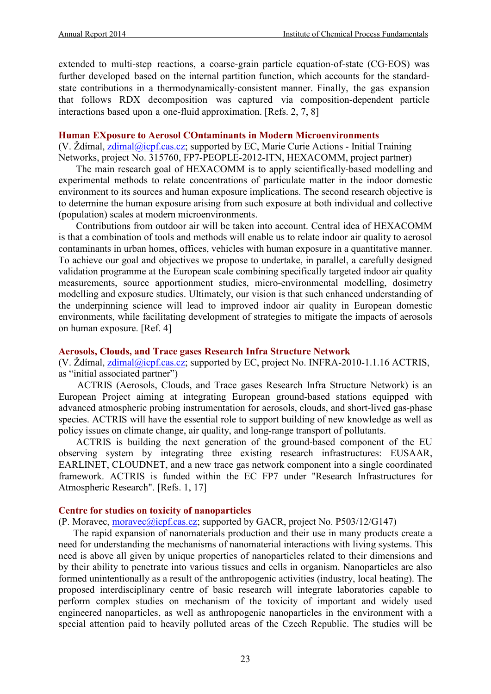extended to multi-step reactions, a coarse-grain particle equation-of-state (CG-EOS) was further developed based on the internal partition function, which accounts for the standardstate contributions in a thermodynamically-consistent manner. Finally, the gas expansion that follows RDX decomposition was captured via composition-dependent particle interactions based upon a one-fluid approximation. [Refs. 2, 7, 8]

#### **Human EXposure to Aerosol COntaminants in Modern Microenvironments**

(V.  $\mathsf{\tilde{Z}dimal}, \mathsf{zdimal}(\mathsf{\tilde{Q}icpf}.\mathsf{cas.cz};$  supported by EC, Marie Curie Actions - Initial Training Networks, project No. 315760, FP7-PEOPLE-2012-ITN, HEXACOMM, project partner)

The main research goal of HEXACOMM is to apply scientifically-based modelling and experimental methods to relate concentrations of particulate matter in the indoor domestic environment to its sources and human exposure implications. The second research objective is to determine the human exposure arising from such exposure at both individual and collective (population) scales at modern microenvironments.

Contributions from outdoor air will be taken into account. Central idea of HEXACOMM is that a combination of tools and methods will enable us to relate indoor air quality to aerosol contaminants in urban homes, offices, vehicles with human exposure in a quantitative manner. To achieve our goal and objectives we propose to undertake, in parallel, a carefully designed validation programme at the European scale combining specifically targeted indoor air quality measurements, source apportionment studies, micro-environmental modelling, dosimetry modelling and exposure studies. Ultimately, our vision is that such enhanced understanding of the underpinning science will lead to improved indoor air quality in European domestic environments, while facilitating development of strategies to mitigate the impacts of aerosols on human exposure. [Ref. 4]

#### **Aerosols, Clouds, and Trace gases Research Infra Structure Network**

(V. Ždímal,  $z$ dimal@icpf.cas.cz; supported by EC, project No. INFRA-2010-1.1.16 ACTRIS, as "initial associated partner")

ACTRIS (Aerosols, Clouds, and Trace gases Research Infra Structure Network) is an European Project aiming at integrating European ground-based stations equipped with advanced atmospheric probing instrumentation for aerosols, clouds, and short-lived gas-phase species. ACTRIS will have the essential role to support building of new knowledge as well as policy issues on climate change, air quality, and long-range transport of pollutants.

ACTRIS is building the next generation of the ground-based component of the EU observing system by integrating three existing research infrastructures: EUSAAR, EARLINET, CLOUDNET, and a new trace gas network component into a single coordinated framework. ACTRIS is funded within the EC FP7 under "Research Infrastructures for Atmospheric Research". [Refs. 1, 17]

#### **Centre for studies on toxicity of nanoparticles**

(P. Moravec, [moravec@icpf.cas.cz;](mailto:moravec@icpf.cas.cz) supported by GACR, project No. P503/12/G147)

The rapid expansion of nanomaterials production and their use in many products create a need for understanding the mechanisms of nanomaterial interactions with living systems. This need is above all given by unique properties of nanoparticles related to their dimensions and by their ability to penetrate into various tissues and cells in organism. Nanoparticles are also formed unintentionally as a result of the anthropogenic activities (industry, local heating). The proposed interdisciplinary centre of basic research will integrate laboratories capable to perform complex studies on mechanism of the toxicity of important and widely used engineered nanoparticles, as well as anthropogenic nanoparticles in the environment with a special attention paid to heavily polluted areas of the Czech Republic. The studies will be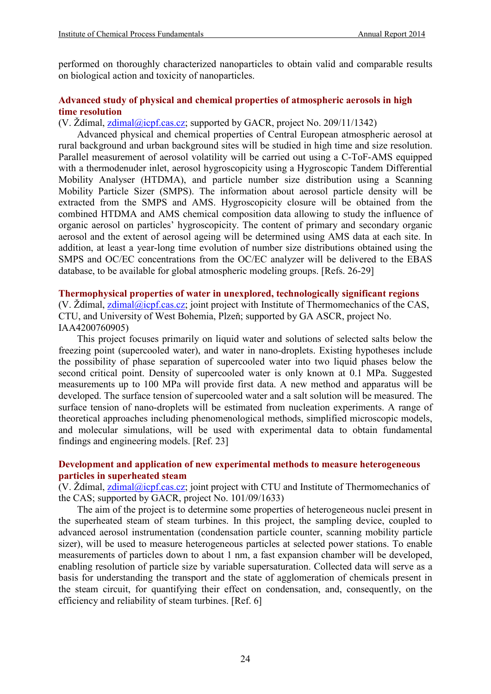performed on thoroughly characterized nanoparticles to obtain valid and comparable results on biological action and toxicity of nanoparticles.

# **Advanced study of physical and chemical properties of atmospheric aerosols in high time resolution**

(V. Ždímal,  $z$ dimal@icpf.cas.cz; supported by GACR, project No. 209/11/1342)

Advanced physical and chemical properties of Central European atmospheric aerosol at rural background and urban background sites will be studied in high time and size resolution. Parallel measurement of aerosol volatility will be carried out using a C-ToF-AMS equipped with a thermodenuder inlet, aerosol hygroscopicity using a Hygroscopic Tandem Differential Mobility Analyser (HTDMA), and particle number size distribution using a Scanning Mobility Particle Sizer (SMPS). The information about aerosol particle density will be extracted from the SMPS and AMS. Hygroscopicity closure will be obtained from the combined HTDMA and AMS chemical composition data allowing to study the influence of organic aerosol on particles' hygroscopicity. The content of primary and secondary organic aerosol and the extent of aerosol ageing will be determined using AMS data at each site. In addition, at least a year-long time evolution of number size distributions obtained using the SMPS and OC/EC concentrations from the OC/EC analyzer will be delivered to the EBAS database, to be available for global atmospheric modeling groups. [Refs. 26-29]

# **Thermophysical properties of water in unexplored, technologically significant regions**

(V. Ždímal,  $z$ dimal@icpf.cas.cz; joint project with Institute of Thermomechanics of the CAS, CTU, and University of West Bohemia, Plzeň; supported by GA ASCR, project No. [IAA4200760905\)](http://aplikace.isvav.cvut.cz/projectDetail.do?rowId=IAA200760905)

This project focuses primarily on liquid water and solutions of selected salts below the freezing point (supercooled water), and water in nano-droplets. Existing hypotheses include the possibility of phase separation of supercooled water into two liquid phases below the second critical point. Density of supercooled water is only known at 0.1 MPa. Suggested measurements up to 100 MPa will provide first data. A new method and apparatus will be developed. The surface tension of supercooled water and a salt solution will be measured. The surface tension of nano-droplets will be estimated from nucleation experiments. A range of theoretical approaches including phenomenological methods, simplified microscopic models, and molecular simulations, will be used with experimental data to obtain fundamental findings and engineering models. [Ref. 23]

# **Development and application of new experimental methods to measure heterogeneous particles in superheated steam**

(V. Ždímal,  $z$ dimal@icpf.cas.cz; joint project with CTU and Institute of Thermomechanics of the CAS; supported by GACR, project No. [101/09/1633\)](http://aplikace.isvav.cvut.cz/projectDetail.do?rowId=GA101%2F09%2F1633)

The aim of the project is to determine some properties of heterogeneous nuclei present in the superheated steam of steam turbines. In this project, the sampling device, coupled to advanced aerosol instrumentation (condensation particle counter, scanning mobility particle sizer), will be used to measure heterogeneous particles at selected power stations. To enable measurements of particles down to about 1 nm, a fast expansion chamber will be developed, enabling resolution of particle size by variable supersaturation. Collected data will serve as a basis for understanding the transport and the state of agglomeration of chemicals present in the steam circuit, for quantifying their effect on condensation, and, consequently, on the efficiency and reliability of steam turbines. [Ref. 6]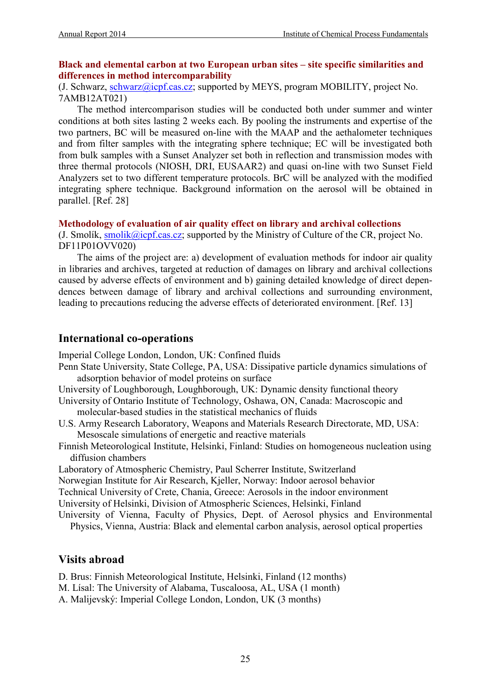# **Black and elemental carbon at two European urban sites – site specific similarities and differences in method intercomparability**

(J. Schwarz, [schwarz@icpf.cas.cz;](mailto:schwarz@icpf.cas.cz) supported by MEYS, program MOBILITY, project No. 7AMB12AT021)

The method intercomparison studies will be conducted both under summer and winter conditions at both sites lasting 2 weeks each. By pooling the instruments and expertise of the two partners, BC will be measured on-line with the MAAP and the aethalometer techniques and from filter samples with the integrating sphere technique; EC will be investigated both from bulk samples with a Sunset Analyzer set both in reflection and transmission modes with three thermal protocols (NIOSH, DRI, EUSAAR2) and quasi on-line with two Sunset Field Analyzers set to two different temperature protocols. BrC will be analyzed with the modified integrating sphere technique. Background information on the aerosol will be obtained in parallel. [Ref. 28]

## **Methodology of evaluation of air quality effect on library and archival collections**

(J. Smolík,  $\frac{\text{smolik}(\hat{a})\text{icpf}(\text{cas.}c\text{z})}{\text{cuspor}}$ ; supported by the Ministry of Culture of the CR, project No. DF11P01OVV020)

The aims of the project are: a) development of evaluation methods for indoor air quality in libraries and archives, targeted at reduction of damages on library and archival collections caused by adverse effects of environment and b) gaining detailed knowledge of direct dependences between damage of library and archival collections and surrounding environment, leading to precautions reducing the adverse effects of deteriorated environment. [Ref. 13]

# **International co-operations**

Imperial College London, London, UK: Confined fluids

- Penn State University, State College, PA, USA: Dissipative particle dynamics simulations of adsorption behavior of model proteins on surface
- University of Loughborough, Loughborough, UK: Dynamic density functional theory
- University of Ontario Institute of Technology, Oshawa, ON, Canada: Macroscopic and molecular-based studies in the statistical mechanics of fluids
- U.S. Army Research Laboratory, Weapons and Materials Research Directorate, MD, USA: Mesoscale simulations of energetic and reactive materials
- Finnish Meteorological Institute, Helsinki, Finland: Studies on homogeneous nucleation using diffusion chambers

Laboratory of Atmospheric Chemistry, Paul Scherrer Institute, Switzerland

Norwegian Institute for Air Research, Kjeller, Norway: Indoor aerosol behavior

Technical University of Crete, Chania, Greece: Aerosols in the indoor environment

University of Helsinki, Division of Atmospheric Sciences, Helsinki, Finland

University of Vienna, Faculty of Physics, Dept. of Aerosol physics and Environmental

Physics, Vienna, Austria: Black and elemental carbon analysis, aerosol optical properties

# **Visits abroad**

D. Brus: Finnish Meteorological Institute, Helsinki, Finland (12 months)

- M. Lísal: The University of Alabama, Tuscaloosa, AL, USA (1 month)
- A. Malijevský: Imperial College London, London, UK (3 months)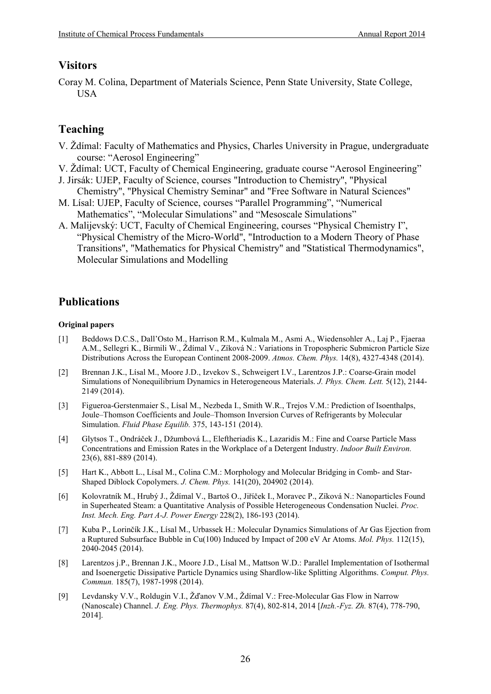# **Visitors**

Coray M. Colina, Department of Materials Science, Penn State University, State College, USA

# **Teaching**

- V. Ždímal: Faculty of Mathematics and Physics, Charles University in Prague, undergraduate course: "Aerosol Engineering"
- V. Ždímal: UCT, Faculty of Chemical Engineering, graduate course "Aerosol Engineering"
- J. Jirsák: UJEP, Faculty of Science, courses "Introduction to Chemistry", "Physical Chemistry", "Physical Chemistry Seminar" and "Free Software in Natural Sciences"
- M. Lísal: UJEP, Faculty of Science, courses "Parallel Programming", "Numerical Mathematics", "Molecular Simulations" and "Mesoscale Simulations"
- A. Malijevský: UCT, Faculty of Chemical Engineering, courses "Physical Chemistry I", "Physical Chemistry of the Micro-World", "Introduction to a Modern Theory of Phase Transitions", "Mathematics for Physical Chemistry" and "Statistical Thermodynamics", Molecular Simulations and Modelling

# **Publications**

#### **Original papers**

- [1] Beddows D.C.S., Dall'Osto M., Harrison R.M., Kulmala M., Asmi A., Wiedensohler A., Laj P., Fjaeraa A.M., Sellegri K., Birmili W., Ždímal V., Zíková N.: Variations in Tropospheric Submicron Particle Size Distributions Across the European Continent 2008-2009. *Atmos. Chem. Phys.* 14(8), 4327-4348 (2014).
- [2] Brennan J.K., Lísal M., Moore J.D., Izvekov S., Schweigert I.V., Larentzos J.P.: Coarse-Grain model Simulations of Nonequilibrium Dynamics in Heterogeneous Materials. *J. Phys. Chem. Lett.* 5(12), 2144- 2149 (2014).
- [3] Figueroa-Gerstenmaier S., Lísal M., Nezbeda I., Smith W.R., Trejos V.M.: Prediction of Isoenthalps, Joule–Thomson Coefficients and Joule–Thomson Inversion Curves of Refrigerants by Molecular Simulation. *Fluid Phase Equilib.* 375, 143-151 (2014).
- [4] Glytsos T., Ondráček J., Džumbová L., Eleftheriadis K., Lazaridis M.: Fine and Coarse Particle Mass Concentrations and Emission Rates in the Workplace of a Detergent Industry. *Indoor Built Environ.*  23(6), 881-889 (2014).
- [5] Hart K., Abbott L., Lísal M., Colina C.M.: Morphology and Molecular Bridging in Comb- and Star-Shaped Diblock Copolymers. *J. Chem. Phys.* 141(20), 204902 (2014).
- [6] Kolovratník M., Hrubý J., Ždímal V., Bartoš O., Jiříček I., Moravec P., Zíková N.: Nanoparticles Found in Superheated Steam: a Quantitative Analysis of Possible Heterogeneous Condensation Nuclei. *Proc. Inst. Mech. Eng. Part A-J. Power Energy* 228(2), 186-193 (2014).
- [7] Kuba P., Lorinčík J.K., Lísal M., Urbassek H.: Molecular Dynamics Simulations of Ar Gas Ejection from a Ruptured Subsurface Bubble in Cu(100) Induced by Impact of 200 eV Ar Atoms. *Mol. Phys.* 112(15), 2040-2045 (2014).
- [8] Larentzos j.P., Brennan J.K., Moore J.D., Lísal M., Mattson W.D.: Parallel Implementation of Isothermal and Isoenergetic Dissipative Particle Dynamics using Shardlow-like Splitting Algorithms. *Comput. Phys. Commun.* 185(7), 1987-1998 (2014).
- [9] Levdansky V.V., Roldugin V.I., Žďanov V.M., Ždímal V.: Free-Molecular Gas Flow in Narrow (Nanoscale) Channel. *J. Eng. Phys. Thermophys.* 87(4), 802-814, 2014 [*Inzh.-Fyz. Zh.* 87(4), 778-790, 2014].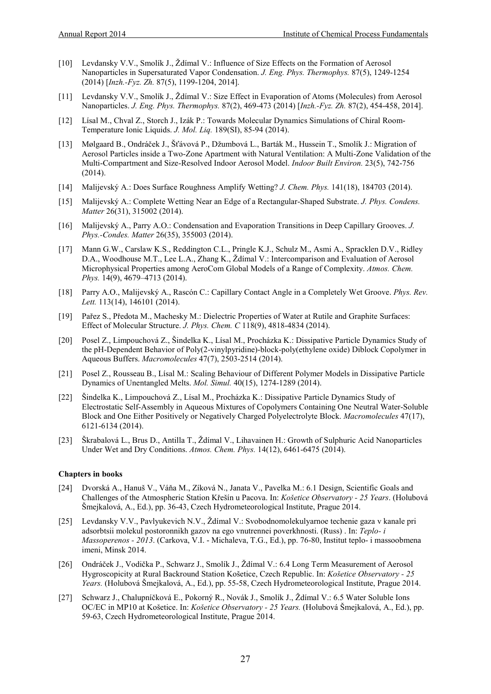- [10] Levdansky V.V., Smolík J., Ždímal V.: Influence of Size Effects on the Formation of Aerosol Nanoparticles in Supersaturated Vapor Condensation. *J. Eng. Phys. Thermophys.* 87(5), 1249-1254 (2014) [*Inzh.-Fyz. Zh.* 87(5), 1199-1204, 2014].
- [11] Levdansky V.V., Smolík J., Ždímal V.: Size Effect in Evaporation of Atoms (Molecules) from Aerosol Nanoparticles. *J. Eng. Phys. Thermophys.* 87(2), 469-473 (2014) [*Inzh.-Fyz. Zh.* 87(2), 454-458, 2014].
- [12] Lísal M., Chval Z., Storch J., Izák P.: Towards Molecular Dynamics Simulations of Chiral Room-Temperature Ionic Liquids. *J. Mol. Liq.* 189(SI), 85-94 (2014).
- [13] Mølgaard B., Ondráček J., Šťávová P., Džumbová L., Barták M., Hussein T., Smolík J.: Migration of Aerosol Particles inside a Two-Zone Apartment with Natural Ventilation: A Multi-Zone Validation of the Multi-Compartment and Size-Resolved Indoor Aerosol Model. *Indoor Built Environ.* 23(5), 742-756 (2014).
- [14] Malijevský A.: Does Surface Roughness Amplify Wetting? *J. Chem. Phys.* 141(18), 184703 (2014).
- [15] Malijevský A.: Complete Wetting Near an Edge of a Rectangular-Shaped Substrate. *J. Phys. Condens. Matter* 26(31), 315002 (2014).
- [16] Malijevský A., Parry A.O.: Condensation and Evaporation Transitions in Deep Capillary Grooves. *J. Phys.-Condes. Matter* 26(35), 355003 (2014).
- [17] Mann G.W., Carslaw K.S., Reddington C.L., Pringle K.J., Schulz M., Asmi A., Spracklen D.V., Ridley D.A., Woodhouse M.T., Lee L.A., Zhang K., Ždímal V.: Intercomparison and Evaluation of Aerosol Microphysical Properties among AeroCom Global Models of a Range of Complexity. *Atmos. Chem. Phys.* 14(9), 4679–4713 (2014).
- [18] Parry A.O., Malijevský A., Rascón C.: Capillary Contact Angle in a Completely Wet Groove. *Phys. Rev. Lett.* 113(14), 146101 (2014).
- [19] Pařez S., Předota M., Machesky M.: Dielectric Properties of Water at Rutile and Graphite Surfaces: Effect of Molecular Structure. *J. Phys. Chem. C* 118(9), 4818-4834 (2014).
- [20] Posel Z., Limpouchová Z., Šindelka K., Lísal M., Procházka K.: Dissipative Particle Dynamics Study of the pH-Dependent Behavior of Poly(2-vinylpyridine)-block-poly(ethylene oxide) Diblock Copolymer in Aqueous Buffers. *Macromolecules* 47(7), 2503-2514 (2014).
- [21] Posel Z., Rousseau B., Lísal M.: Scaling Behaviour of Different Polymer Models in Dissipative Particle Dynamics of Unentangled Melts. *Mol. Simul.* 40(15), 1274-1289 (2014).
- [22] Šindelka K., Limpouchová Z., Lísal M., Procházka K.: Dissipative Particle Dynamics Study of Electrostatic Self-Assembly in Aqueous Mixtures of Copolymers Containing One Neutral Water-Soluble Block and One Either Positively or Negatively Charged Polyelectrolyte Block. *Macromolecules* 47(17), 6121-6134 (2014).
- [23] Škrabalová L., Brus D., Antilla T., Ždímal V., Lihavainen H.: Growth of Sulphuric Acid Nanoparticles Under Wet and Dry Conditions. *Atmos. Chem. Phys.* 14(12), 6461-6475 (2014).

#### **Chapters in books**

- [24] Dvorská A., Hanuš V., Váňa M., Zíková N., Janata V., Pavelka M.: 6.1 Design, Scientific Goals and Challenges of the Atmospheric Station Křešín u Pacova. In: *Košetice Observatory - 25 Years*. (Holubová Šmejkalová, A., Ed.), pp. 36-43, Czech Hydrometeorological Institute, Prague 2014.
- [25] Levdansky V.V., Pavlyukevich N.V., Ždímal V.: Svobodnomolekulyarnoe techenie gaza v kanale pri adsorbtsii molekul postoronnikh gazov na ego vnutrennei poverkhnosti. (Russ) . In: *Teplo- i Massoperenos - 2013*. (Carkova, V.I. - Michaleva, T.G., Ed.), pp. 76-80, Institut teplo- i massoobmena imeni, Minsk 2014.
- [26] Ondráček J., Vodička P., Schwarz J., Smolík J., Ždímal V.: 6.4 Long Term Measurement of Aerosol Hygroscopicity at Rural Backround Station Košetice, Czech Republic. In: *Košetice Observatory - 25 Years.* (Holubová Šmejkalová, A., Ed.), pp. 55-58, Czech Hydrometeorological Institute, Prague 2014.
- [27] Schwarz J., Chalupníčková E., Pokorný R., Novák J., Smolík J., Ždímal V.: 6.5 Water Soluble Ions OC/EC in MP10 at Košetice. In: *Košetice Observatory - 25 Years.* (Holubová Šmejkalová, A., Ed.), pp. 59-63, Czech Hydrometeorological Institute, Prague 2014.